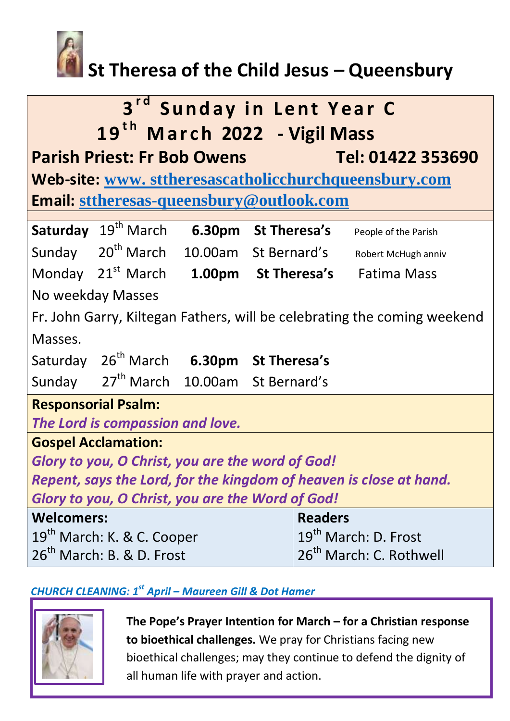

# **St Theresa of the Child Jesus – Queensbury**

| 3rd Sunday in Lent Year C<br>19 <sup>th</sup> March 2022 - Vigil Mass    |                                                    |  |                                                     |                                                               |  |
|--------------------------------------------------------------------------|----------------------------------------------------|--|-----------------------------------------------------|---------------------------------------------------------------|--|
| <b>Parish Priest: Fr Bob Owens</b><br>Tel: 01422 353690                  |                                                    |  |                                                     |                                                               |  |
| Web-site: www. sttheresascatholicchurchqueensbury.com                    |                                                    |  |                                                     |                                                               |  |
| <b>Email: sttheresas-queensbury@outlook.com</b>                          |                                                    |  |                                                     |                                                               |  |
|                                                                          | Saturday 19 <sup>th</sup> March                    |  | 6.30pm St Theresa's                                 | People of the Parish                                          |  |
|                                                                          |                                                    |  | Sunday 20 <sup>th</sup> March 10.00am St Bernard's  | Robert McHugh anniv                                           |  |
|                                                                          |                                                    |  |                                                     | Monday 21 <sup>st</sup> March 1.00pm St Theresa's Fatima Mass |  |
| No weekday Masses                                                        |                                                    |  |                                                     |                                                               |  |
| Fr. John Garry, Kiltegan Fathers, will be celebrating the coming weekend |                                                    |  |                                                     |                                                               |  |
| Masses.                                                                  |                                                    |  |                                                     |                                                               |  |
|                                                                          |                                                    |  | Saturday 26 <sup>th</sup> March 6.30pm St Theresa's |                                                               |  |
|                                                                          | Sunday 27 <sup>th</sup> March 10.00am St Bernard's |  |                                                     |                                                               |  |
| <b>Responsorial Psalm:</b>                                               |                                                    |  |                                                     |                                                               |  |
| The Lord is compassion and love.                                         |                                                    |  |                                                     |                                                               |  |
| <b>Gospel Acclamation:</b>                                               |                                                    |  |                                                     |                                                               |  |
| Glory to you, O Christ, you are the word of God!                         |                                                    |  |                                                     |                                                               |  |
| Repent, says the Lord, for the kingdom of heaven is close at hand.       |                                                    |  |                                                     |                                                               |  |
| Glory to you, O Christ, you are the Word of God!                         |                                                    |  |                                                     |                                                               |  |
| <b>Welcomers:</b>                                                        |                                                    |  |                                                     | <b>Readers</b>                                                |  |
| 19 <sup>th</sup> March: K. & C. Cooper                                   |                                                    |  |                                                     | 19 <sup>th</sup> March: D. Frost                              |  |
| 26 <sup>th</sup> March: B. & D. Frost                                    |                                                    |  |                                                     | 26 <sup>th</sup> March: C. Rothwell                           |  |

## *CHURCH CLEANING: 1st April – Maureen Gill & Dot Hamer*



**The Pope's Prayer Intention for March – for a Christian response to bioethical challenges.** We pray for Christians facing new bioethical challenges; may they continue to defend the dignity of all human life with prayer and action.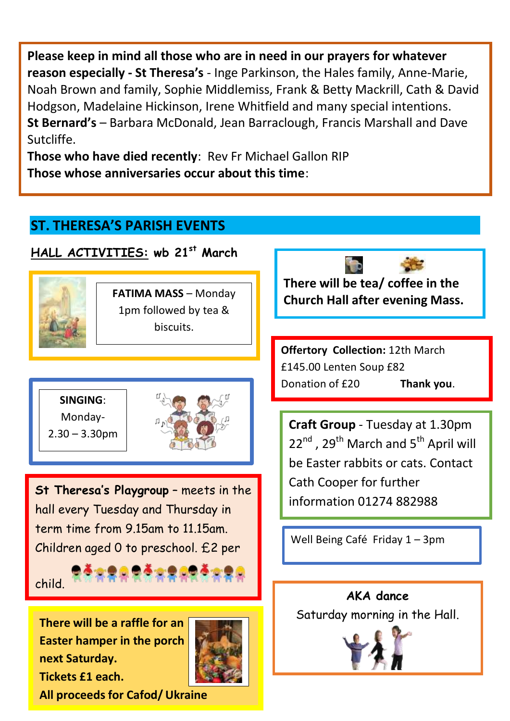**Please keep in mind all those who are in need in our prayers for whatever reason especially - St Theresa's** - Inge Parkinson, the Hales family, Anne-Marie, Noah Brown and family, Sophie Middlemiss, Frank & Betty Mackrill, Cath & David Hodgson, Madelaine Hickinson, Irene Whitfield and many special intentions. **St Bernard's** – Barbara McDonald, Jean Barraclough, Francis Marshall and Dave Sutcliffe.

**Those who have died recently**: Rev Fr Michael Gallon RIP **Those whose anniversaries occur about this time**:

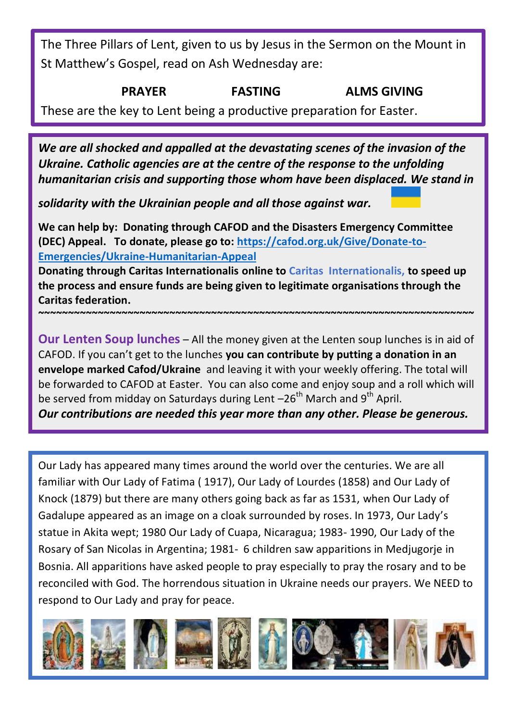The Three Pillars of Lent, given to us by Jesus in the Sermon on the Mount in St Matthew's Gospel, read on Ash Wednesday are:

### **PRAYER FASTING ALMS GIVING**

These are the key to Lent being a productive preparation for Easter.

*We are all shocked and appalled at the devastating scenes of the invasion of the Ukraine. Catholic agencies are at the centre of the response to the unfolding humanitarian crisis and supporting those whom have been displaced. We stand in* 

*solidarity with the Ukrainian people and all those against war.* 

**We can help by: Donating through CAFOD and the Disasters Emergency Committee (DEC) Appeal. To donate, please go to: [https://cafod.org.uk/Give/Donate-to-](https://cafod.org.uk/Give/Donate-to-Emergencies/Ukraine-Humanitarian-Appeal)[Emergencies/Ukraine-Humanitarian-Appeal](https://cafod.org.uk/Give/Donate-to-Emergencies/Ukraine-Humanitarian-Appeal)** 

**Donating through Caritas Internationalis online to Caritas Internationalis, to speed up the process and ensure funds are being given to legitimate organisations through the Caritas federation.** 

**~~~~~~~~~~~~~~~~~~~~~~~~~~~~~~~~~~~~~~~~~~~~~~~~~~~~~~~~~~~~~~~~~~~~~~~~~** 

**Our Lenten Soup lunches** – All the money given at the Lenten soup lunches is in aid of CAFOD. If you can't get to the lunches **you can contribute by putting a donation in an envelope marked Cafod/Ukraine** and leaving it with your weekly offering. The total will be forwarded to CAFOD at Easter. You can also come and enjoy soup and a roll which will be served from midday on Saturdays during Lent  $-26<sup>th</sup>$  March and 9<sup>th</sup> April.

*Our contributions are needed this year more than any other. Please be generous.* 

Our Lady has appeared many times around the world over the centuries. We are all familiar with Our Lady of Fatima ( 1917), Our Lady of Lourdes (1858) and Our Lady of Knock (1879) but there are many others going back as far as 1531, when Our Lady of Gadalupe appeared as an image on a cloak surrounded by roses. In 1973, Our Lady's statue in Akita wept; 1980 Our Lady of Cuapa, Nicaragua; 1983- 1990, Our Lady of the Rosary of San Nicolas in Argentina; 1981- 6 children saw apparitions in Medjugorje in Bosnia. All apparitions have asked people to pray especially to pray the rosary and to be reconciled with God. The horrendous situation in Ukraine needs our prayers. We NEED to respond to Our Lady and pray for peace.